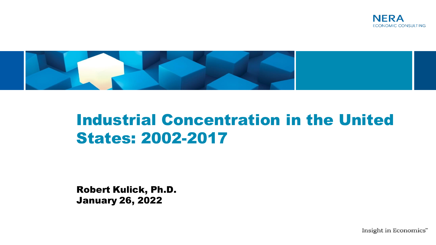



# Industrial Concentration in the United States: 2002-2017

Robert Kulick, Ph.D. January 26, 2022

Insight in Economics"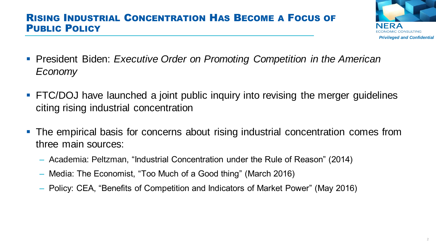### RISING INDUSTRIAL CONCENTRATION HAS BECOME A FOCUS OF PUBLIC POLICY



- **President Biden:** *Executive Order on Promoting Competition in the American Economy*
- **FIC/DOJ** have launched a joint public inquiry into revising the merger guidelines citing rising industrial concentration
- The empirical basis for concerns about rising industrial concentration comes from three main sources:
	- Academia: Peltzman, "Industrial Concentration under the Rule of Reason" (2014)
	- Media: The Economist, "Too Much of a Good thing" (March 2016)
	- Policy: CEA, "Benefits of Competition and Indicators of Market Power" (May 2016)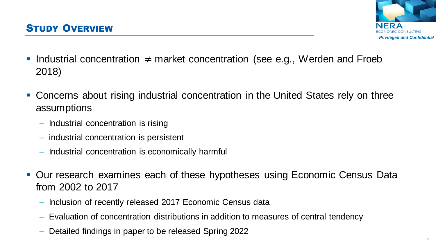

- Industrial concentration  $\neq$  market concentration (see e.g., Werden and Froeb 2018)
- Concerns about rising industrial concentration in the United States rely on three assumptions
	- Industrial concentration is rising
	- industrial concentration is persistent
	- Industrial concentration is economically harmful
- Our research examines each of these hypotheses using Economic Census Data from 2002 to 2017
	- Inclusion of recently released 2017 Economic Census data
	- Evaluation of concentration distributions in addition to measures of central tendency
	- Detailed findings in paper to be released Spring 2022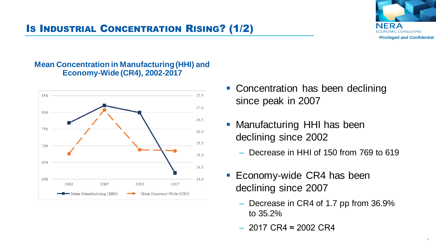## IS INDUSTRIAL CONCENTRATION RISING? (1/2)



#### **Mean Concentration in Manufacturing (HHI) and Economy-Wide (CR4), 2002-2017**



- Concentration has been declining since peak in 2007
- **Manufacturing HHI has been** declining since 2002
	- Decrease in HHI of 150 from 769 to 619
- Economy-wide CR4 has been declining since 2007
	- Decrease in CR4 of 1.7 pp from 36.9% to 35.2%
	- $-$  2017 CR4 ≈ 2002 CR4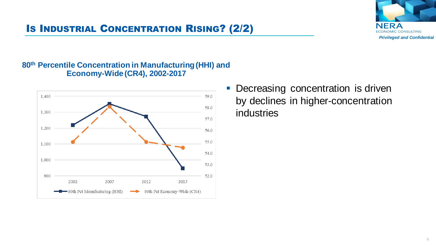

## IS INDUSTRIAL CONCENTRATION RISING? (2/2)

#### **80th Percentile Concentration in Manufacturing (HHI) and Economy-Wide (CR4), 2002-2017**



**• Decreasing concentration is driven** by declines in higher-concentration industries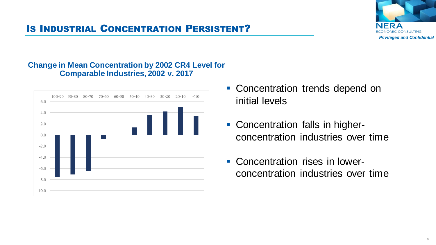

## IS INDUSTRIAL CONCENTRATION PERSISTENT?

#### **Change in Mean Concentration by 2002 CR4 Level for Comparable Industries, 2002 v. 2017**



- **EX Concentration trends depend on** initial levels
- Concentration falls in higherconcentration industries over time
- Concentration rises in lowerconcentration industries over time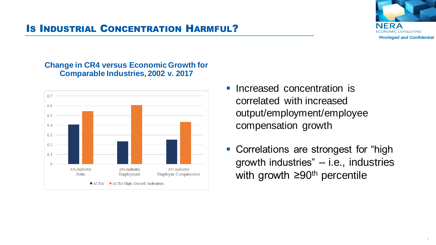

## IS INDUSTRIAL CONCENTRATION HARMFUL?

#### **Change in CR4 versus Economic Growth for Comparable Industries, 2002 v. 2017**



- **Increased concentration is** correlated with increased output/employment/employee compensation growth
- Correlations are strongest for "high growth industries" – i.e., industries with growth ≥90<sup>th</sup> percentile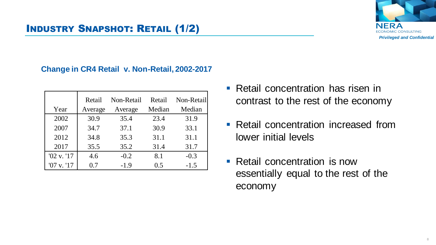

## INDUSTRY SNAPSHOT: RETAIL (1/2)

#### **Change in CR4 Retail v. Non-Retail, 2002-2017**

|                | Retail  | Non-Retail | Retail | Non-Retail |
|----------------|---------|------------|--------|------------|
| Year           | Average | Average    | Median | Median     |
| 2002           | 30.9    | 35.4       | 23.4   | 31.9       |
| 2007           | 34.7    | 37.1       | 30.9   | 33.1       |
| 2012           | 34.8    | 35.3       | 31.1   | 31.1       |
| 2017           | 35.5    | 35.2       | 31.4   | 31.7       |
| '02 v. '17     | 4.6     | $-0.2$     | 8.1    | $-0.3$     |
| $'07$ v. $'17$ | 0.7     | $-1.9$     | 0.5    | $-1.5$     |

- Retail concentration has risen in contrast to the rest of the economy
- Retail concentration increased from lower initial levels
- Retail concentration is now essentially equal to the rest of the economy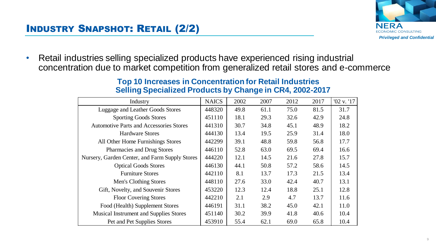

• Retail industries selling specialized products have experienced rising industrial concentration due to market competition from generalized retail stores and e-commerce

| Industry                                       | <b>NAICS</b> | 2002 | 2007 | 2012 | 2017 | $'02$ v. $'17$ |
|------------------------------------------------|--------------|------|------|------|------|----------------|
| Luggage and Leather Goods Stores               | 448320       | 49.8 | 61.1 | 75.0 | 81.5 | 31.7           |
| <b>Sporting Goods Stores</b>                   | 451110       | 18.1 | 29.3 | 32.6 | 42.9 | 24.8           |
| <b>Automotive Parts and Accessories Stores</b> | 441310       | 30.7 | 34.8 | 45.1 | 48.9 | 18.2           |
| <b>Hardware Stores</b>                         | 444130       | 13.4 | 19.5 | 25.9 | 31.4 | 18.0           |
| All Other Home Furnishings Stores              | 442299       | 39.1 | 48.8 | 59.8 | 56.8 | 17.7           |
| <b>Pharmacies and Drug Stores</b>              | 446110       | 52.8 | 63.0 | 69.5 | 69.4 | 16.6           |
| Nursery, Garden Center, and Farm Supply Stores | 444220       | 12.1 | 14.5 | 21.6 | 27.8 | 15.7           |
| <b>Optical Goods Stores</b>                    | 446130       | 44.1 | 50.8 | 57.2 | 58.6 | 14.5           |
| <b>Furniture Stores</b>                        | 442110       | 8.1  | 13.7 | 17.3 | 21.5 | 13.4           |
| Men's Clothing Stores                          | 448110       | 27.6 | 33.0 | 42.4 | 40.7 | 13.1           |
| Gift, Novelty, and Souvenir Stores             | 453220       | 12.3 | 12.4 | 18.8 | 25.1 | 12.8           |
| <b>Floor Covering Stores</b>                   | 442210       | 2.1  | 2.9  | 4.7  | 13.7 | 11.6           |
| Food (Health) Supplement Stores                | 446191       | 31.1 | 38.2 | 45.0 | 42.1 | 11.0           |
| <b>Musical Instrument and Supplies Stores</b>  | 451140       | 30.2 | 39.9 | 41.8 | 40.6 | 10.4           |
| Pet and Pet Supplies Stores                    | 453910       | 55.4 | 62.1 | 69.0 | 65.8 | 10.4           |

#### **Top 10 Increases in Concentration for Retail Industries Selling Specialized Products by Change in CR4, 2002-2017**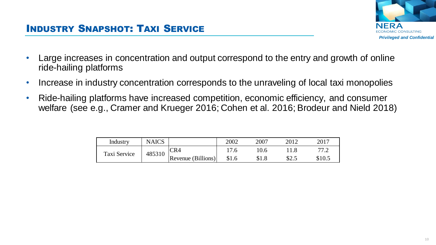

- Large increases in concentration and output correspond to the entry and growth of online ride-hailing platforms
- Increase in industry concentration corresponds to the unraveling of local taxi monopolies
- Ride-hailing platforms have increased competition, economic efficiency, and consumer welfare (see e.g., Cramer and Krueger 2016; Cohen et al. 2016; Brodeur and Nield 2018)

| Industry     | <b>NAICS</b> |                    | 2002  | 2007  |      | 2017   |
|--------------|--------------|--------------------|-------|-------|------|--------|
| Taxi Service | 485310       | CR4                | .76   | .0.6  |      |        |
|              |              | Revenue (Billions) | \$1.6 | 0.1.0 | ت.∠0 | \$10.5 |